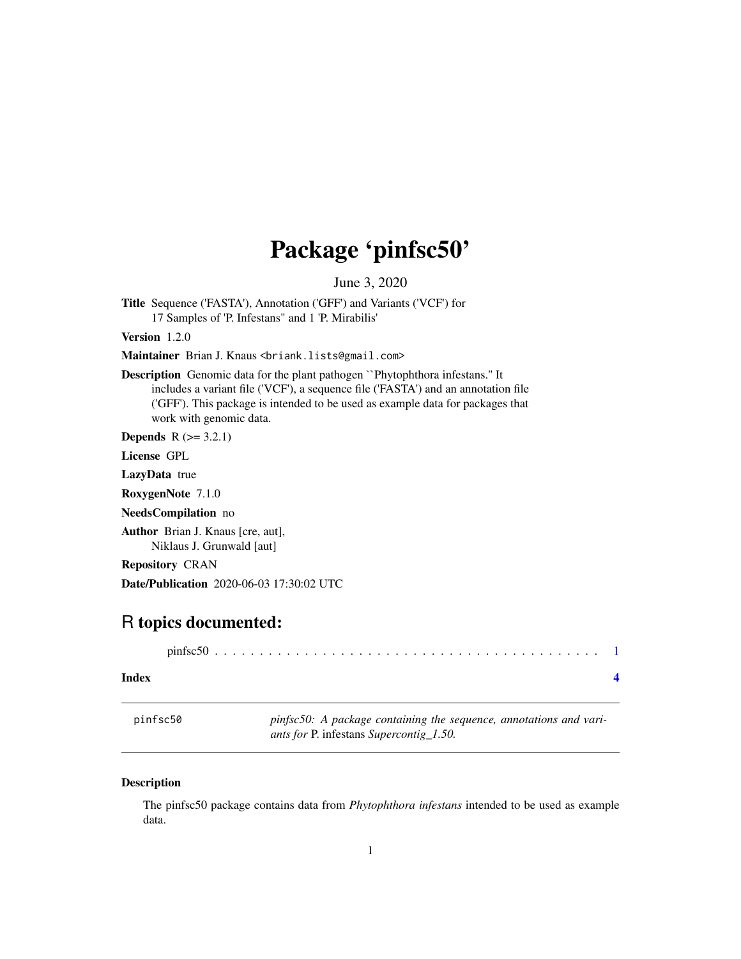## <span id="page-0-0"></span>Package 'pinfsc50'

June 3, 2020

Title Sequence ('FASTA'), Annotation ('GFF') and Variants ('VCF') for 17 Samples of 'P. Infestans" and 1 'P. Mirabilis'

Version 1.2.0

Maintainer Brian J. Knaus <br iank.lists@gmail.com>

Description Genomic data for the plant pathogen ``Phytophthora infestans.'' It includes a variant file ('VCF'), a sequence file ('FASTA') and an annotation file ('GFF'). This package is intended to be used as example data for packages that work with genomic data.

**Depends**  $R$  ( $>= 3.2.1$ )

License GPL

LazyData true

RoxygenNote 7.1.0

NeedsCompilation no

Author Brian J. Knaus [cre, aut], Niklaus J. Grunwald [aut]

Repository CRAN

Date/Publication 2020-06-03 17:30:02 UTC

### R topics documented:

| Index |  |  |  |  |  |  |  |  |  |  |  |  |  |  |  |
|-------|--|--|--|--|--|--|--|--|--|--|--|--|--|--|--|

pinfsc50 *pinfsc50: A package containing the sequence, annotations and variants for* P. infestans *Supercontig\_1.50.*

#### Description

The pinfsc50 package contains data from *Phytophthora infestans* intended to be used as example data.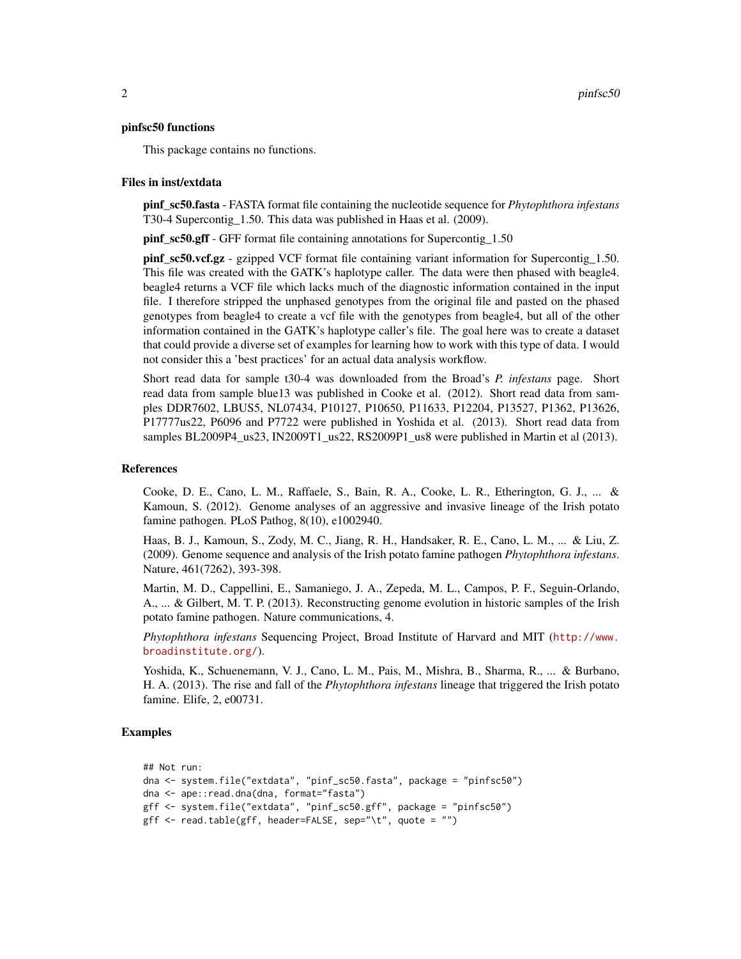#### pinfsc50 functions

This package contains no functions.

#### Files in inst/extdata

pinf\_sc50.fasta - FASTA format file containing the nucleotide sequence for *Phytophthora infestans* T30-4 Supercontig\_1.50. This data was published in Haas et al. (2009).

pinf\_sc50.gff - GFF format file containing annotations for Supercontig\_1.50

pinf\_sc50.vcf.gz - gzipped VCF format file containing variant information for Supercontig\_1.50. This file was created with the GATK's haplotype caller. The data were then phased with beagle4. beagle4 returns a VCF file which lacks much of the diagnostic information contained in the input file. I therefore stripped the unphased genotypes from the original file and pasted on the phased genotypes from beagle4 to create a vcf file with the genotypes from beagle4, but all of the other information contained in the GATK's haplotype caller's file. The goal here was to create a dataset that could provide a diverse set of examples for learning how to work with this type of data. I would not consider this a 'best practices' for an actual data analysis workflow.

Short read data for sample t30-4 was downloaded from the Broad's *P. infestans* page. Short read data from sample blue13 was published in Cooke et al. (2012). Short read data from samples DDR7602, LBUS5, NL07434, P10127, P10650, P11633, P12204, P13527, P1362, P13626, P17777us22, P6096 and P7722 were published in Yoshida et al. (2013). Short read data from samples BL2009P4\_us23, IN2009T1\_us22, RS2009P1\_us8 were published in Martin et al (2013).

#### References

Cooke, D. E., Cano, L. M., Raffaele, S., Bain, R. A., Cooke, L. R., Etherington, G. J., ... & Kamoun, S. (2012). Genome analyses of an aggressive and invasive lineage of the Irish potato famine pathogen. PLoS Pathog, 8(10), e1002940.

Haas, B. J., Kamoun, S., Zody, M. C., Jiang, R. H., Handsaker, R. E., Cano, L. M., ... & Liu, Z. (2009). Genome sequence and analysis of the Irish potato famine pathogen *Phytophthora infestans*. Nature, 461(7262), 393-398.

Martin, M. D., Cappellini, E., Samaniego, J. A., Zepeda, M. L., Campos, P. F., Seguin-Orlando, A., ... & Gilbert, M. T. P. (2013). Reconstructing genome evolution in historic samples of the Irish potato famine pathogen. Nature communications, 4.

*Phytophthora infestans* Sequencing Project, Broad Institute of Harvard and MIT ([http://www.](http://www.broadinstitute.org/) [broadinstitute.org/](http://www.broadinstitute.org/)).

Yoshida, K., Schuenemann, V. J., Cano, L. M., Pais, M., Mishra, B., Sharma, R., ... & Burbano, H. A. (2013). The rise and fall of the *Phytophthora infestans* lineage that triggered the Irish potato famine. Elife, 2, e00731.

#### Examples

```
## Not run:
dna <- system.file("extdata", "pinf_sc50.fasta", package = "pinfsc50")
dna <- ape::read.dna(dna, format="fasta")
gff <- system.file("extdata", "pinf_sc50.gff", package = "pinfsc50")
gff <- read.table(gff, header=FALSE, sep="\t", quote = "")
```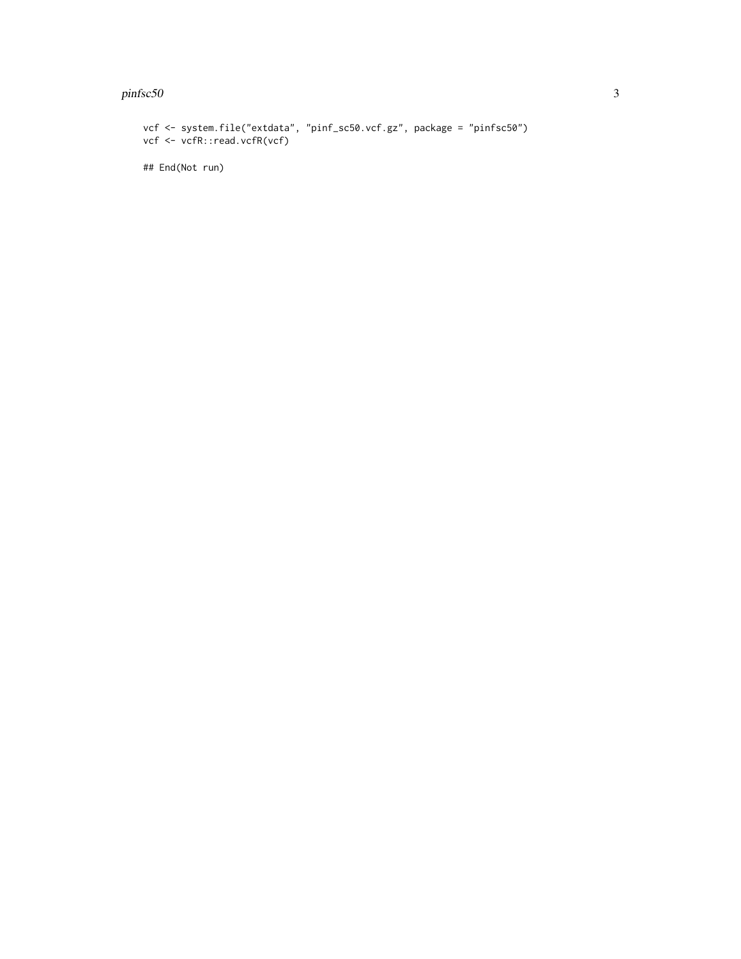#### $p$ infsc50  $\frac{3}{2}$

```
vcf <- system.file("extdata", "pinf_sc50.vcf.gz", package = "pinfsc50")
vcf <- vcfR::read.vcfR(vcf)
## End(Not run)
```